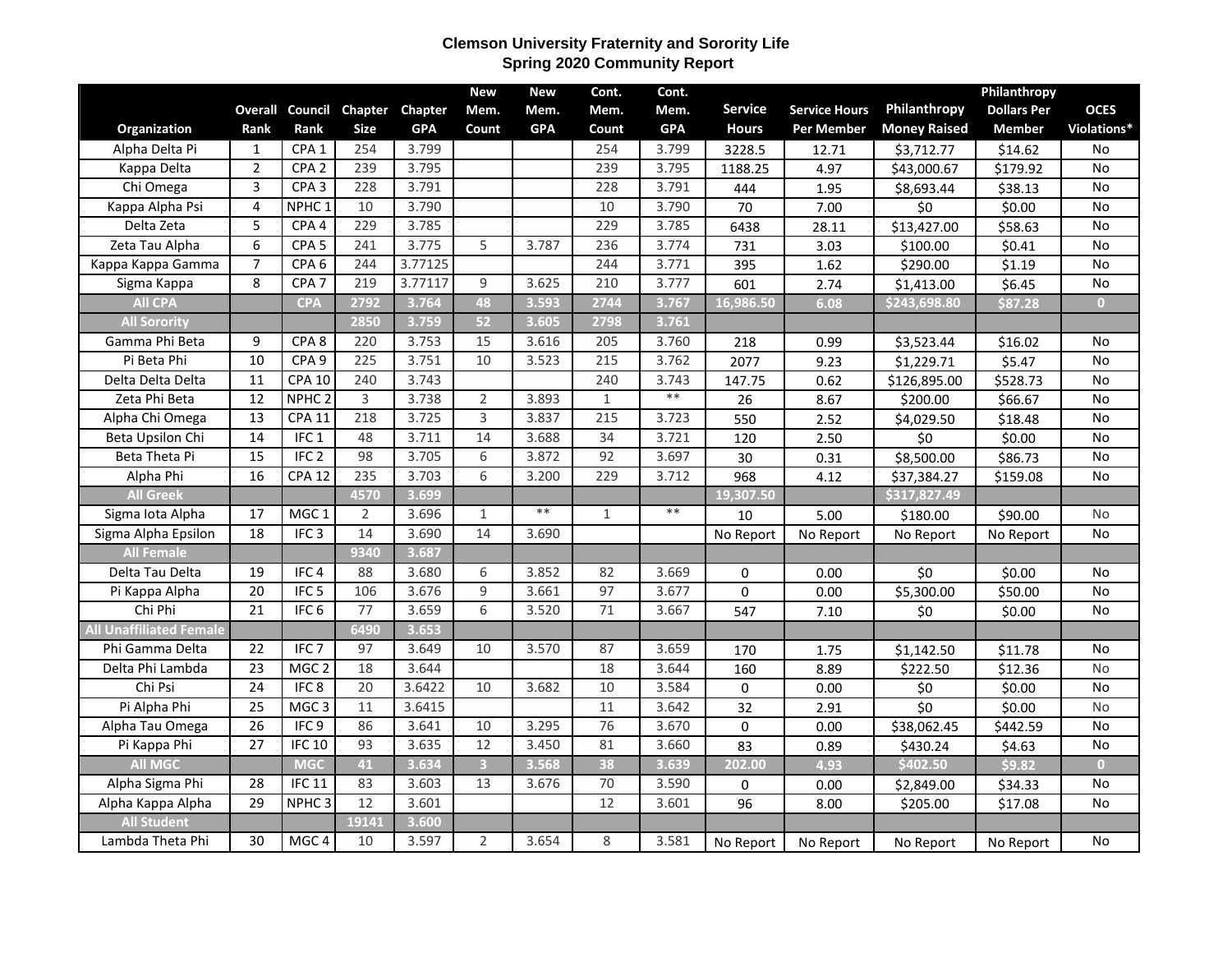## **Clemson University Fraternity and Sorority Life Spring 2020 Community Report**

|                                |                 |                   |                 |            | <b>New</b>              | New        | Cont.           | Cont.      |                |                      |                     | Philanthropy       |                |
|--------------------------------|-----------------|-------------------|-----------------|------------|-------------------------|------------|-----------------|------------|----------------|----------------------|---------------------|--------------------|----------------|
|                                | <b>Overall</b>  | Council           | Chapter         | Chapter    | Mem.                    | Mem.       | Mem.            | Mem.       | <b>Service</b> | <b>Service Hours</b> | Philanthropy        | <b>Dollars Per</b> | <b>OCES</b>    |
| Organization                   | Rank            | Rank              | <b>Size</b>     | <b>GPA</b> | Count                   | <b>GPA</b> | Count           | <b>GPA</b> | <b>Hours</b>   | Per Member           | <b>Money Raised</b> | <b>Member</b>      | Violations*    |
| Alpha Delta Pi                 | $\mathbf{1}$    | CPA1              | 254             | 3.799      |                         |            | 254             | 3.799      | 3228.5         | 12.71                | \$3,712.77          | \$14.62            | <b>No</b>      |
| Kappa Delta                    | $\overline{2}$  | CPA <sub>2</sub>  | 239             | 3.795      |                         |            | 239             | 3.795      | 1188.25        | 4.97                 | \$43,000.67         | \$179.92           | $\overline{N}$ |
| Chi Omega                      | 3               | CPA <sub>3</sub>  | 228             | 3.791      |                         |            | 228             | 3.791      | 444            | 1.95                 | \$8,693.44          | \$38.13            | <b>No</b>      |
| Kappa Alpha Psi                | 4               | NPHC <sub>1</sub> | 10              | 3.790      |                         |            | 10              | 3.790      | 70             | 7.00                 | \$0                 | \$0.00             | No             |
| Delta Zeta                     | 5               | CPA <sub>4</sub>  | 229             | 3.785      |                         |            | 229             | 3.785      | 6438           | 28.11                | \$13,427.00         | \$58.63            | No             |
| Zeta Tau Alpha                 | 6               | CPA <sub>5</sub>  | 241             | 3.775      | 5                       | 3.787      | 236             | 3.774      | 731            | 3.03                 | \$100.00            | \$0.41             | <b>No</b>      |
| Kappa Kappa Gamma              | $\overline{7}$  | CPA <sub>6</sub>  | 244             | 3.77125    |                         |            | 244             | 3.771      | 395            | 1.62                 | \$290.00            | \$1.19             | <b>No</b>      |
| Sigma Kappa                    | 8               | CPA <sub>7</sub>  | 219             | 3.77117    | 9                       | 3.625      | 210             | 3.777      | 601            | 2.74                 | \$1,413.00          | \$6.45             | No             |
| <b>All CPA</b>                 |                 | <b>CPA</b>        | 2792            | 3.764      | 48                      | 3.593      | 2744            | 3.767      | 16,986.50      | 6.08                 | \$243,698.80        | \$87.28            | $\overline{0}$ |
| <b>All Sorority</b>            |                 |                   | 2850            | 3.759      | 52                      | 3.605      | 2798            | 3.761      |                |                      |                     |                    |                |
| Gamma Phi Beta                 | 9               | CPA <sub>8</sub>  | 220             | 3.753      | 15                      | 3.616      | 205             | 3.760      | 218            | 0.99                 | \$3,523.44          | \$16.02            | No             |
| Pi Beta Phi                    | 10              | CPA <sub>9</sub>  | 225             | 3.751      | 10                      | 3.523      | 215             | 3.762      | 2077           | 9.23                 | \$1,229.71          | \$5.47             | <b>No</b>      |
| Delta Delta Delta              | 11              | <b>CPA 10</b>     | 240             | 3.743      |                         |            | 240             | 3.743      | 147.75         | 0.62                 | \$126,895.00        | \$528.73           | No             |
| Zeta Phi Beta                  | 12              | NPHC <sub>2</sub> | 3               | 3.738      | $\overline{2}$          | 3.893      | $\mathbf{1}$    | $**$       | 26             | 8.67                 | \$200.00            | \$66.67            | No             |
| Alpha Chi Omega                | $\overline{13}$ | <b>CPA 11</b>     | 218             | 3.725      | $\overline{3}$          | 3.837      | 215             | 3.723      | 550            | 2.52                 | \$4,029.50          | \$18.48            | No             |
| Beta Upsilon Chi               | $\overline{14}$ | IFC1              | 48              | 3.711      | $\overline{14}$         | 3.688      | $\overline{34}$ | 3.721      | 120            | 2.50                 | \$0                 | \$0.00             | No             |
| Beta Theta Pi                  | 15              | IFC <sub>2</sub>  | 98              | 3.705      | 6                       | 3.872      | 92              | 3.697      | 30             | 0.31                 | \$8,500.00          | \$86.73            | No             |
| Alpha Phi                      | 16              | <b>CPA 12</b>     | 235             | 3.703      | 6                       | 3.200      | 229             | 3.712      | 968            | 4.12                 | \$37,384.27         | \$159.08           | No             |
| <b>All Greek</b>               |                 |                   | 4570            | 3.699      |                         |            |                 |            | 19,307.50      |                      | \$317,827.49        |                    |                |
| Sigma Iota Alpha               | 17              | MGC <sub>1</sub>  | $\overline{2}$  | 3.696      | $\mathbf{1}$            | $***$      | $\mathbf{1}$    | $***$      | 10             | 5.00                 | \$180.00            | \$90.00            | No             |
| Sigma Alpha Epsilon            | 18              | IFC <sub>3</sub>  | 14              | 3.690      | 14                      | 3.690      |                 |            | No Report      | No Report            | No Report           | No Report          | No             |
| <b>All Female</b>              |                 |                   | 9340            | 3.687      |                         |            |                 |            |                |                      |                     |                    |                |
| Delta Tau Delta                | 19              | IFC <sub>4</sub>  | 88              | 3.680      | 6                       | 3.852      | 82              | 3.669      | $\mathbf 0$    | 0.00                 | \$0                 | \$0.00             | No             |
| Pi Kappa Alpha                 | $\overline{20}$ | IFC <sub>5</sub>  | 106             | 3.676      | 9                       | 3.661      | 97              | 3.677      | $\mathbf 0$    | 0.00                 | \$5,300.00          | \$50.00            | No             |
| Chi Phi                        | 21              | IFC <sub>6</sub>  | $\overline{77}$ | 3.659      | 6                       | 3.520      | 71              | 3.667      | 547            | 7.10                 | \$0                 | \$0.00             | No             |
| <b>All Unaffiliated Female</b> |                 |                   | 6490            | 3.653      |                         |            |                 |            |                |                      |                     |                    |                |
| Phi Gamma Delta                | 22              | IFC <sub>7</sub>  | 97              | 3.649      | 10                      | 3.570      | 87              | 3.659      | 170            | 1.75                 | \$1,142.50          | \$11.78            | No             |
| Delta Phi Lambda               | $\overline{23}$ | MGC <sub>2</sub>  | 18              | 3.644      |                         |            | 18              | 3.644      | 160            | 8.89                 | \$222.50            | \$12.36            | <b>No</b>      |
| Chi Psi                        | 24              | IFC <sub>8</sub>  | 20              | 3.6422     | 10                      | 3.682      | 10              | 3.584      | $\mathbf 0$    | 0.00                 | \$0                 | \$0.00             | $\overline{N}$ |
| Pi Alpha Phi                   | $\overline{25}$ | MGC <sub>3</sub>  | 11              | 3.6415     |                         |            | 11              | 3.642      | 32             | 2.91                 | \$0                 | \$0.00             | No             |
| Alpha Tau Omega                | $\overline{26}$ | IFC9              | 86              | 3.641      | 10                      | 3.295      | 76              | 3.670      | 0              | 0.00                 | \$38,062.45         | \$442.59           | $\overline{N}$ |
| Pi Kappa Phi                   | $\overline{27}$ | IFC <sub>10</sub> | 93              | 3.635      | 12                      | 3.450      | 81              | 3.660      | 83             | 0.89                 | \$430.24            | \$4.63             | No             |
| <b>All MGC</b>                 |                 | <b>MGC</b>        | 41              | 3.634      | $\overline{\mathbf{3}}$ | 3.568      | 38              | 3.639      | 202.00         | 4.93                 | \$402.50            | \$9.82             | $\overline{0}$ |
| Alpha Sigma Phi                | 28              | <b>IFC 11</b>     | 83              | 3.603      | 13                      | 3.676      | $\overline{70}$ | 3.590      | 0              | 0.00                 | \$2,849.00          | \$34.33            | No             |
| Alpha Kappa Alpha              | 29              | NPHC <sub>3</sub> | 12              | 3.601      |                         |            | 12              | 3.601      | 96             | 8.00                 | \$205.00            | \$17.08            | No             |
| <b>All Student</b>             |                 |                   | 19141           | 3.600      |                         |            |                 |            |                |                      |                     |                    |                |
| Lambda Theta Phi               | 30              | MGC <sub>4</sub>  | 10              | 3.597      | $\overline{2}$          | 3.654      | 8               | 3.581      | No Report      | No Report            | No Report           | No Report          | No             |